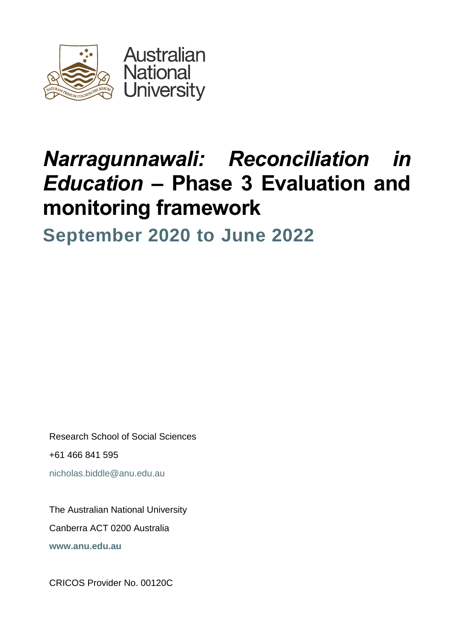

# *Narragunnawali: Reconciliation in Education –* **Phase 3 Evaluation and monitoring framework**

**September 2020 to June 2022**

Research School of Social Sciences +61 466 841 595 [nicholas.biddle@anu.edu.au](mailto:name@anu.edu.au)

The Australian National University Canberra ACT 0200 Australia **[www.anu.edu.au](http://www.anu.edu.au/)**

CRICOS Provider No. 00120C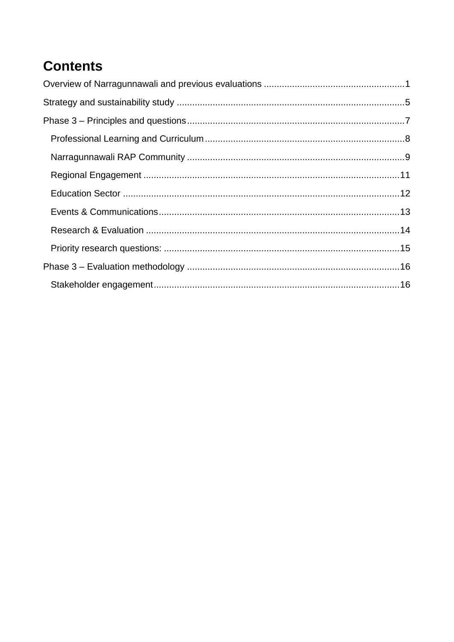# **Contents**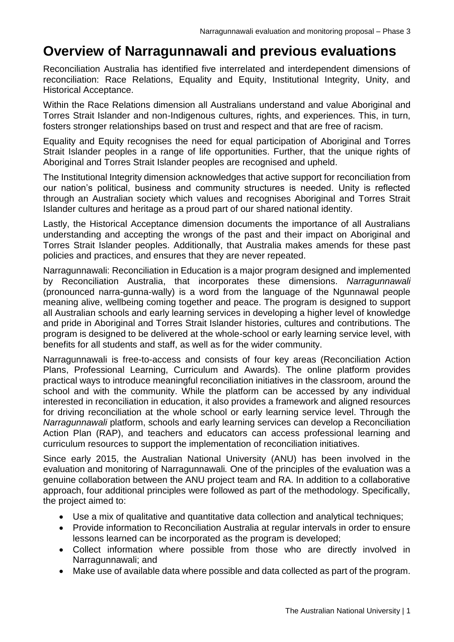### <span id="page-2-0"></span>**Overview of Narragunnawali and previous evaluations**

Reconciliation Australia has identified five interrelated and interdependent dimensions of reconciliation: Race Relations, Equality and Equity, Institutional Integrity, Unity, and Historical Acceptance.

Within the Race Relations dimension all Australians understand and value Aboriginal and Torres Strait Islander and non-Indigenous cultures, rights, and experiences. This, in turn, fosters stronger relationships based on trust and respect and that are free of racism.

Equality and Equity recognises the need for equal participation of Aboriginal and Torres Strait Islander peoples in a range of life opportunities. Further, that the unique rights of Aboriginal and Torres Strait Islander peoples are recognised and upheld.

The Institutional Integrity dimension acknowledges that active support for reconciliation from our nation's political, business and community structures is needed. Unity is reflected through an Australian society which values and recognises Aboriginal and Torres Strait Islander cultures and heritage as a proud part of our shared national identity.

Lastly, the Historical Acceptance dimension documents the importance of all Australians understanding and accepting the wrongs of the past and their impact on Aboriginal and Torres Strait Islander peoples. Additionally, that Australia makes amends for these past policies and practices, and ensures that they are never repeated.

Narragunnawali: Reconciliation in Education is a major program designed and implemented by Reconciliation Australia, that incorporates these dimensions. *Narragunnawali* (pronounced narra-gunna-wally) is a word from the language of the Ngunnawal people meaning alive, wellbeing coming together and peace. The program is designed to support all Australian schools and early learning services in developing a higher level of knowledge and pride in Aboriginal and Torres Strait Islander histories, cultures and contributions. The program is designed to be delivered at the whole-school or early learning service level, with benefits for all students and staff, as well as for the wider community.

Narragunnawali is free-to-access and consists of four key areas (Reconciliation Action Plans, Professional Learning, Curriculum and Awards). The online platform provides practical ways to introduce meaningful reconciliation initiatives in the classroom, around the school and with the community. While the platform can be accessed by any individual interested in reconciliation in education, it also provides a framework and aligned resources for driving reconciliation at the whole school or early learning service level. Through the *Narragunnawali* platform, schools and early learning services can develop a Reconciliation Action Plan (RAP), and teachers and educators can access professional learning and curriculum resources to support the implementation of reconciliation initiatives.

Since early 2015, the Australian National University (ANU) has been involved in the evaluation and monitoring of Narragunnawali*.* One of the principles of the evaluation was a genuine collaboration between the ANU project team and RA. In addition to a collaborative approach, four additional principles were followed as part of the methodology. Specifically, the project aimed to:

- Use a mix of qualitative and quantitative data collection and analytical techniques;
- Provide information to Reconciliation Australia at regular intervals in order to ensure lessons learned can be incorporated as the program is developed;
- Collect information where possible from those who are directly involved in Narragunnawali; and
- Make use of available data where possible and data collected as part of the program.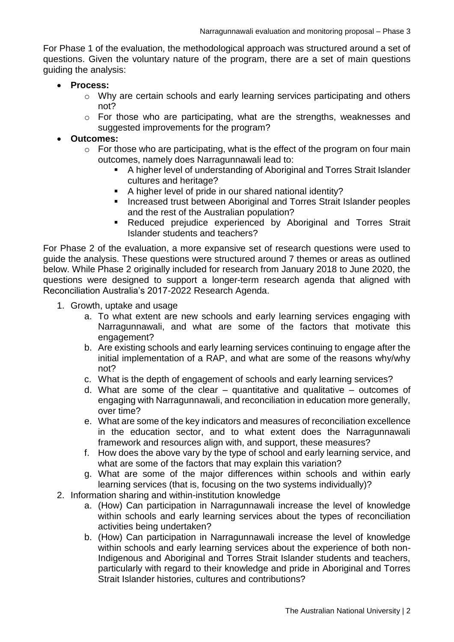For Phase 1 of the evaluation, the methodological approach was structured around a set of questions. Given the voluntary nature of the program, there are a set of main questions guiding the analysis:

- **Process:**
	- o Why are certain schools and early learning services participating and others not?
	- o For those who are participating, what are the strengths, weaknesses and suggested improvements for the program?

#### **Outcomes:**

- $\circ$  For those who are participating, what is the effect of the program on four main outcomes, namely does Narragunnawali lead to:
	- A higher level of understanding of Aboriginal and Torres Strait Islander cultures and heritage?
	- A higher level of pride in our shared national identity?
	- **Increased trust between Aboriginal and Torres Strait Islander peoples** and the rest of the Australian population?
	- Reduced prejudice experienced by Aboriginal and Torres Strait Islander students and teachers?

For Phase 2 of the evaluation, a more expansive set of research questions were used to guide the analysis. These questions were structured around 7 themes or areas as outlined below. While Phase 2 originally included for research from January 2018 to June 2020, the questions were designed to support a longer-term research agenda that aligned with Reconciliation Australia's 2017-2022 Research Agenda.

- 1. Growth, uptake and usage
	- a. To what extent are new schools and early learning services engaging with Narragunnawali, and what are some of the factors that motivate this engagement?
	- b. Are existing schools and early learning services continuing to engage after the initial implementation of a RAP, and what are some of the reasons why/why not?
	- c. What is the depth of engagement of schools and early learning services?
	- d. What are some of the clear quantitative and qualitative outcomes of engaging with Narragunnawali, and reconciliation in education more generally, over time?
	- e. What are some of the key indicators and measures of reconciliation excellence in the education sector, and to what extent does the Narragunnawali framework and resources align with, and support, these measures?
	- f. How does the above vary by the type of school and early learning service, and what are some of the factors that may explain this variation?
	- g. What are some of the major differences within schools and within early learning services (that is, focusing on the two systems individually)?
- 2. Information sharing and within-institution knowledge
	- a. (How) Can participation in Narragunnawali increase the level of knowledge within schools and early learning services about the types of reconciliation activities being undertaken?
	- b. (How) Can participation in Narragunnawali increase the level of knowledge within schools and early learning services about the experience of both non-Indigenous and Aboriginal and Torres Strait Islander students and teachers, particularly with regard to their knowledge and pride in Aboriginal and Torres Strait Islander histories, cultures and contributions?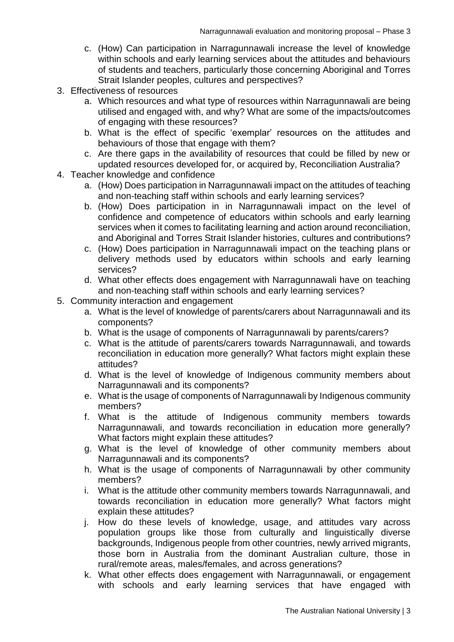- c. (How) Can participation in Narragunnawali increase the level of knowledge within schools and early learning services about the attitudes and behaviours of students and teachers, particularly those concerning Aboriginal and Torres Strait Islander peoples, cultures and perspectives?
- 3. Effectiveness of resources
	- a. Which resources and what type of resources within Narragunnawali are being utilised and engaged with, and why? What are some of the impacts/outcomes of engaging with these resources?
	- b. What is the effect of specific 'exemplar' resources on the attitudes and behaviours of those that engage with them?
	- c. Are there gaps in the availability of resources that could be filled by new or updated resources developed for, or acquired by, Reconciliation Australia?
- 4. Teacher knowledge and confidence
	- a. (How) Does participation in Narragunnawali impact on the attitudes of teaching and non-teaching staff within schools and early learning services?
	- b. (How) Does participation in in Narragunnawali impact on the level of confidence and competence of educators within schools and early learning services when it comes to facilitating learning and action around reconciliation, and Aboriginal and Torres Strait Islander histories, cultures and contributions?
	- c. (How) Does participation in Narragunnawali impact on the teaching plans or delivery methods used by educators within schools and early learning services?
	- d. What other effects does engagement with Narragunnawali have on teaching and non-teaching staff within schools and early learning services?
- 5. Community interaction and engagement
	- a. What is the level of knowledge of parents/carers about Narragunnawali and its components?
	- b. What is the usage of components of Narragunnawali by parents/carers?
	- c. What is the attitude of parents/carers towards Narragunnawali, and towards reconciliation in education more generally? What factors might explain these attitudes?
	- d. What is the level of knowledge of Indigenous community members about Narragunnawali and its components?
	- e. What is the usage of components of Narragunnawali by Indigenous community members?
	- f. What is the attitude of Indigenous community members towards Narragunnawali, and towards reconciliation in education more generally? What factors might explain these attitudes?
	- g. What is the level of knowledge of other community members about Narragunnawali and its components?
	- h. What is the usage of components of Narragunnawali by other community members?
	- i. What is the attitude other community members towards Narragunnawali, and towards reconciliation in education more generally? What factors might explain these attitudes?
	- j. How do these levels of knowledge, usage, and attitudes vary across population groups like those from culturally and linguistically diverse backgrounds, Indigenous people from other countries, newly arrived migrants, those born in Australia from the dominant Australian culture, those in rural/remote areas, males/females, and across generations?
	- k. What other effects does engagement with Narragunnawali, or engagement with schools and early learning services that have engaged with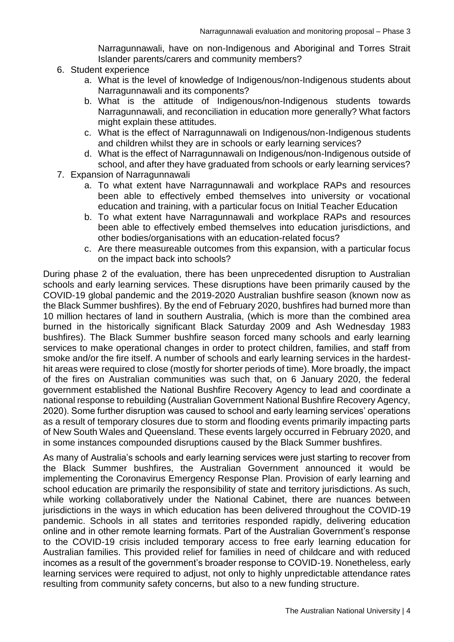Narragunnawali, have on non-Indigenous and Aboriginal and Torres Strait Islander parents/carers and community members?

- 6. Student experience
	- a. What is the level of knowledge of Indigenous/non-Indigenous students about Narragunnawali and its components?
	- b. What is the attitude of Indigenous/non-Indigenous students towards Narragunnawali, and reconciliation in education more generally? What factors might explain these attitudes.
	- c. What is the effect of Narragunnawali on Indigenous/non-Indigenous students and children whilst they are in schools or early learning services?
	- d. What is the effect of Narragunnawali on Indigenous/non-Indigenous outside of school, and after they have graduated from schools or early learning services?
- 7. Expansion of Narragunnawali
	- a. To what extent have Narragunnawali and workplace RAPs and resources been able to effectively embed themselves into university or vocational education and training, with a particular focus on Initial Teacher Education
	- b. To what extent have Narragunnawali and workplace RAPs and resources been able to effectively embed themselves into education jurisdictions, and other bodies/organisations with an education-related focus?
	- c. Are there measureable outcomes from this expansion, with a particular focus on the impact back into schools?

During phase 2 of the evaluation, there has been unprecedented disruption to Australian schools and early learning services. These disruptions have been primarily caused by the COVID-19 global pandemic and the 2019-2020 Australian bushfire season (known now as the Black Summer bushfires). By the end of February 2020, bushfires had burned more than 10 million hectares of land in southern Australia, (which is more than the combined area burned in the historically significant Black Saturday 2009 and Ash Wednesday 1983 bushfires). The Black Summer bushfire season forced many schools and early learning services to make operational changes in order to protect children, families, and staff from smoke and/or the fire itself. A number of schools and early learning services in the hardesthit areas were required to close (mostly for shorter periods of time). More broadly, the impact of the fires on Australian communities was such that, on 6 January 2020, the federal government established the National Bushfire Recovery Agency to lead and coordinate a national response to rebuilding (Australian Government National Bushfire Recovery Agency, 2020). Some further disruption was caused to school and early learning services' operations as a result of temporary closures due to storm and flooding events primarily impacting parts of New South Wales and Queensland. These events largely occurred in February 2020, and in some instances compounded disruptions caused by the Black Summer bushfires.

As many of Australia's schools and early learning services were just starting to recover from the Black Summer bushfires, the Australian Government announced it would be implementing the Coronavirus Emergency Response Plan. Provision of early learning and school education are primarily the responsibility of state and territory jurisdictions. As such, while working collaboratively under the National Cabinet, there are nuances between jurisdictions in the ways in which education has been delivered throughout the COVID-19 pandemic. Schools in all states and territories responded rapidly, delivering education online and in other remote learning formats. Part of the Australian Government's response to the COVID-19 crisis included temporary access to free early learning education for Australian families. This provided relief for families in need of childcare and with reduced incomes as a result of the government's broader response to COVID-19. Nonetheless, early learning services were required to adjust, not only to highly unpredictable attendance rates resulting from community safety concerns, but also to a new funding structure.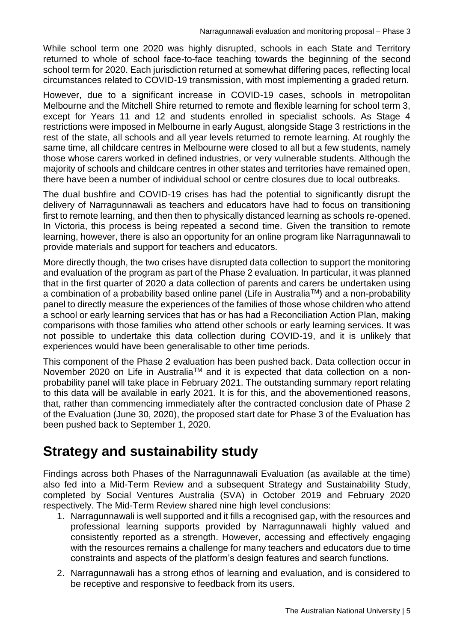While school term one 2020 was highly disrupted, schools in each State and Territory returned to whole of school face-to-face teaching towards the beginning of the second school term for 2020. Each jurisdiction returned at somewhat differing paces, reflecting local circumstances related to COVID-19 transmission, with most implementing a graded return.

However, due to a significant increase in COVID-19 cases, schools in metropolitan Melbourne and the Mitchell Shire returned to remote and flexible learning for school term 3, except for Years 11 and 12 and students enrolled in specialist schools. As Stage 4 restrictions were imposed in Melbourne in early August, alongside Stage 3 restrictions in the rest of the state, all schools and all year levels returned to remote learning. At roughly the same time, all childcare centres in Melbourne were closed to all but a few students, namely those whose carers worked in defined industries, or very vulnerable students. Although the majority of schools and childcare centres in other states and territories have remained open, there have been a number of individual school or centre closures due to local outbreaks.

The dual bushfire and COVID-19 crises has had the potential to significantly disrupt the delivery of Narragunnawali as teachers and educators have had to focus on transitioning first to remote learning, and then then to physically distanced learning as schools re-opened. In Victoria, this process is being repeated a second time. Given the transition to remote learning, however, there is also an opportunity for an online program like Narragunnawali to provide materials and support for teachers and educators.

More directly though, the two crises have disrupted data collection to support the monitoring and evaluation of the program as part of the Phase 2 evaluation. In particular, it was planned that in the first quarter of 2020 a data collection of parents and carers be undertaken using a combination of a probability based online panel (Life in Australia™) and a non-probability panel to directly measure the experiences of the families of those whose children who attend a school or early learning services that has or has had a Reconciliation Action Plan, making comparisons with those families who attend other schools or early learning services. It was not possible to undertake this data collection during COVID-19, and it is unlikely that experiences would have been generalisable to other time periods.

This component of the Phase 2 evaluation has been pushed back. Data collection occur in November 2020 on Life in Australia™ and it is expected that data collection on a nonprobability panel will take place in February 2021. The outstanding summary report relating to this data will be available in early 2021. It is for this, and the abovementioned reasons, that, rather than commencing immediately after the contracted conclusion date of Phase 2 of the Evaluation (June 30, 2020), the proposed start date for Phase 3 of the Evaluation has been pushed back to September 1, 2020.

# <span id="page-6-0"></span>**Strategy and sustainability study**

Findings across both Phases of the Narragunnawali Evaluation (as available at the time) also fed into a Mid-Term Review and a subsequent Strategy and Sustainability Study, completed by Social Ventures Australia (SVA) in October 2019 and February 2020 respectively. The Mid-Term Review shared nine high level conclusions:

- 1. Narragunnawali is well supported and it fills a recognised gap, with the resources and professional learning supports provided by Narragunnawali highly valued and consistently reported as a strength. However, accessing and effectively engaging with the resources remains a challenge for many teachers and educators due to time constraints and aspects of the platform's design features and search functions.
- 2. Narragunnawali has a strong ethos of learning and evaluation, and is considered to be receptive and responsive to feedback from its users.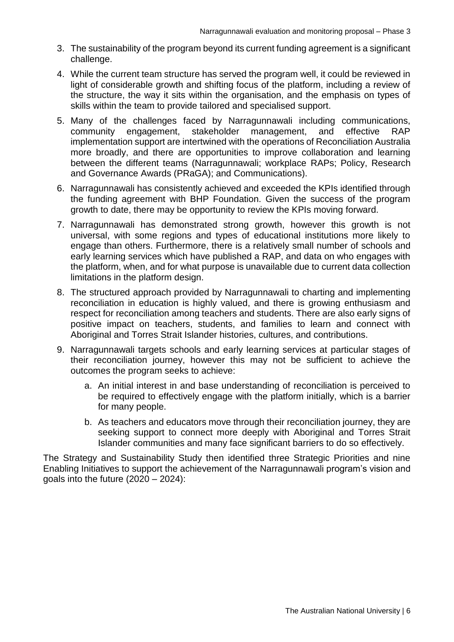- 3. The sustainability of the program beyond its current funding agreement is a significant challenge.
- 4. While the current team structure has served the program well, it could be reviewed in light of considerable growth and shifting focus of the platform, including a review of the structure, the way it sits within the organisation, and the emphasis on types of skills within the team to provide tailored and specialised support.
- 5. Many of the challenges faced by Narragunnawali including communications, community engagement, stakeholder management, and effective RAP implementation support are intertwined with the operations of Reconciliation Australia more broadly, and there are opportunities to improve collaboration and learning between the different teams (Narragunnawali; workplace RAPs; Policy, Research and Governance Awards (PRaGA); and Communications).
- 6. Narragunnawali has consistently achieved and exceeded the KPIs identified through the funding agreement with BHP Foundation. Given the success of the program growth to date, there may be opportunity to review the KPIs moving forward.
- 7. Narragunnawali has demonstrated strong growth, however this growth is not universal, with some regions and types of educational institutions more likely to engage than others. Furthermore, there is a relatively small number of schools and early learning services which have published a RAP, and data on who engages with the platform, when, and for what purpose is unavailable due to current data collection limitations in the platform design.
- 8. The structured approach provided by Narragunnawali to charting and implementing reconciliation in education is highly valued, and there is growing enthusiasm and respect for reconciliation among teachers and students. There are also early signs of positive impact on teachers, students, and families to learn and connect with Aboriginal and Torres Strait Islander histories, cultures, and contributions.
- 9. Narragunnawali targets schools and early learning services at particular stages of their reconciliation journey, however this may not be sufficient to achieve the outcomes the program seeks to achieve:
	- a. An initial interest in and base understanding of reconciliation is perceived to be required to effectively engage with the platform initially, which is a barrier for many people.
	- b. As teachers and educators move through their reconciliation journey, they are seeking support to connect more deeply with Aboriginal and Torres Strait Islander communities and many face significant barriers to do so effectively.

The Strategy and Sustainability Study then identified three Strategic Priorities and nine Enabling Initiatives to support the achievement of the Narragunnawali program's vision and goals into the future  $(2020 - 2024)$ :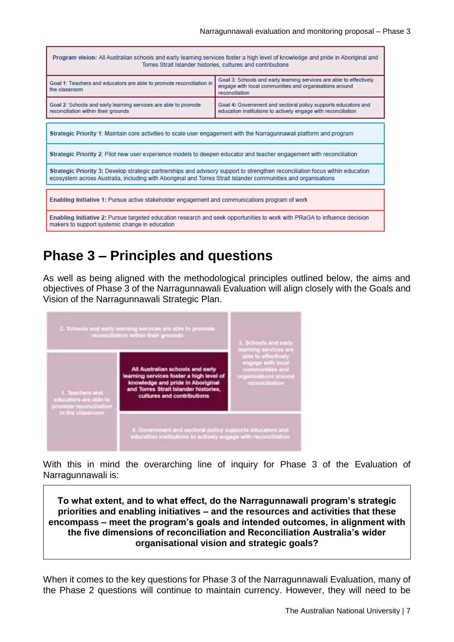Program vision: All Australian schools and early learning services foster a high level of knowledge and pride in Aboriginal and Torres Strait Islander histories, cultures and contributions

| Goal 1: Teachers and educators are able to promote reconciliation in<br>the classroom                                                                                                                                                           | Goal 3: Schools and early learning services are able to effectively<br>engage with local communities and organisations around<br>reconciliation |  |
|-------------------------------------------------------------------------------------------------------------------------------------------------------------------------------------------------------------------------------------------------|-------------------------------------------------------------------------------------------------------------------------------------------------|--|
| Goal 2: Schools and early learning services are able to promote<br>reconciliation within their grounds                                                                                                                                          | Goal 4: Government and sectoral policy supports educators and<br>education institutions to actively engage with reconciliation                  |  |
| Strategic Priority 1: Maintain core activities to scale user engagement with the Narragunnawali platform and program                                                                                                                            |                                                                                                                                                 |  |
| Strategic Priority 2: Pilot new user experience models to deepen educator and teacher engagement with reconciliation                                                                                                                            |                                                                                                                                                 |  |
| Strategic Priority 3: Develop strategic partnerships and advisory support to strengthen reconciliation focus within education<br>ecosystem across Australia, including with Aboriginal and Torres Strait Islander communities and organisations |                                                                                                                                                 |  |
| Enabling Initiative 1: Pursue active stakeholder engagement and communications program of work                                                                                                                                                  |                                                                                                                                                 |  |
| Enabling Initiative 2: Pursue targeted education research and seek opportunities to work with PRaGA to influence decision<br>makers to support systemic change in education                                                                     |                                                                                                                                                 |  |

# <span id="page-8-0"></span>**Phase 3 – Principles and questions**

As well as being aligned with the methodological principles outlined below, the aims and objectives of Phase 3 of the Narragunnawali Evaluation will align closely with the Goals and Vision of the Narragunnawali Strategic Plan.



With this in mind the overarching line of inquiry for Phase 3 of the Evaluation of Narragunnawali is:

**To what extent, and to what effect, do the Narragunnawali program's strategic priorities and enabling initiatives – and the resources and activities that these encompass – meet the program's goals and intended outcomes, in alignment with the five dimensions of reconciliation and Reconciliation Australia's wider organisational vision and strategic goals?**

When it comes to the key questions for Phase 3 of the Narragunnawali Evaluation, many of the Phase 2 questions will continue to maintain currency. However, they will need to be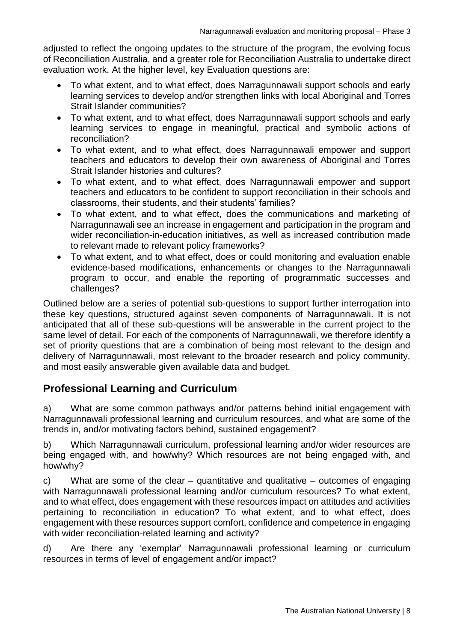adjusted to reflect the ongoing updates to the structure of the program, the evolving focus of Reconciliation Australia, and a greater role for Reconciliation Australia to undertake direct evaluation work. At the higher level, key Evaluation questions are:

- To what extent, and to what effect, does Narragunnawali support schools and early learning services to develop and/or strengthen links with local Aboriginal and Torres Strait Islander communities?
- To what extent, and to what effect, does Narragunnawali support schools and early learning services to engage in meaningful, practical and symbolic actions of reconciliation?
- To what extent, and to what effect, does Narragunnawali empower and support teachers and educators to develop their own awareness of Aboriginal and Torres Strait Islander histories and cultures?
- To what extent, and to what effect, does Narragunnawali empower and support teachers and educators to be confident to support reconciliation in their schools and classrooms, their students, and their students' families?
- To what extent, and to what effect, does the communications and marketing of Narragunnawali see an increase in engagement and participation in the program and wider reconciliation-in-education initiatives, as well as increased contribution made to relevant made to relevant policy frameworks?
- To what extent, and to what effect, does or could monitoring and evaluation enable evidence-based modifications, enhancements or changes to the Narragunnawali program to occur, and enable the reporting of programmatic successes and challenges?

Outlined below are a series of potential sub-questions to support further interrogation into these key questions, structured against seven components of Narragunnawali. It is not anticipated that all of these sub-questions will be answerable in the current project to the same level of detail. For each of the components of Narragunnawali, we therefore identify a set of priority questions that are a combination of being most relevant to the design and delivery of Narragunnawali, most relevant to the broader research and policy community, and most easily answerable given available data and budget.

#### <span id="page-9-0"></span>**Professional Learning and Curriculum**

a) What are some common pathways and/or patterns behind initial engagement with Narragunnawali professional learning and curriculum resources, and what are some of the trends in, and/or motivating factors behind, sustained engagement?

b) Which Narragunnawali curriculum, professional learning and/or wider resources are being engaged with, and how/why? Which resources are not being engaged with, and how/why?

c) What are some of the clear – quantitative and qualitative – outcomes of engaging with Narragunnawali professional learning and/or curriculum resources? To what extent, and to what effect, does engagement with these resources impact on attitudes and activities pertaining to reconciliation in education? To what extent, and to what effect, does engagement with these resources support comfort, confidence and competence in engaging with wider reconciliation-related learning and activity?

d) Are there any 'exemplar' Narragunnawali professional learning or curriculum resources in terms of level of engagement and/or impact?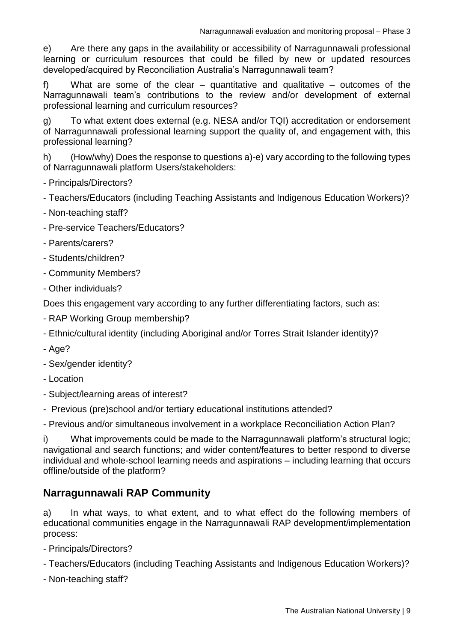e) Are there any gaps in the availability or accessibility of Narragunnawali professional learning or curriculum resources that could be filled by new or updated resources developed/acquired by Reconciliation Australia's Narragunnawali team?

f) What are some of the clear – quantitative and qualitative – outcomes of the Narragunnawali team's contributions to the review and/or development of external professional learning and curriculum resources?

g) To what extent does external (e.g. NESA and/or TQI) accreditation or endorsement of Narragunnawali professional learning support the quality of, and engagement with, this professional learning?

h) (How/why) Does the response to questions a)-e) vary according to the following types of Narragunnawali platform Users/stakeholders:

- Principals/Directors?

- Teachers/Educators (including Teaching Assistants and Indigenous Education Workers)?

- Non-teaching staff?
- Pre-service Teachers/Educators?
- Parents/carers?
- Students/children?
- Community Members?
- Other individuals?

Does this engagement vary according to any further differentiating factors, such as:

- RAP Working Group membership?
- Ethnic/cultural identity (including Aboriginal and/or Torres Strait Islander identity)?
- Age?
- Sex/gender identity?
- Location
- Subject/learning areas of interest?
- Previous (pre)school and/or tertiary educational institutions attended?

- Previous and/or simultaneous involvement in a workplace Reconciliation Action Plan?

i) What improvements could be made to the Narragunnawali platform's structural logic; navigational and search functions; and wider content/features to better respond to diverse individual and whole-school learning needs and aspirations – including learning that occurs offline/outside of the platform?

#### <span id="page-10-0"></span>**Narragunnawali RAP Community**

a) In what ways, to what extent, and to what effect do the following members of educational communities engage in the Narragunnawali RAP development/implementation process:

- Principals/Directors?

- Teachers/Educators (including Teaching Assistants and Indigenous Education Workers)?
- Non-teaching staff?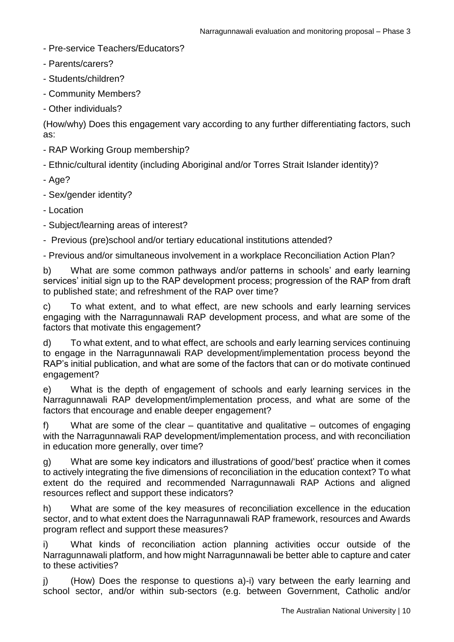- Pre-service Teachers/Educators?
- Parents/carers?
- Students/children?
- Community Members?
- Other individuals?

(How/why) Does this engagement vary according to any further differentiating factors, such as:

- RAP Working Group membership?
- Ethnic/cultural identity (including Aboriginal and/or Torres Strait Islander identity)?
- Age?
- Sex/gender identity?
- Location
- Subject/learning areas of interest?
- Previous (pre)school and/or tertiary educational institutions attended?

- Previous and/or simultaneous involvement in a workplace Reconciliation Action Plan?

b) What are some common pathways and/or patterns in schools' and early learning services' initial sign up to the RAP development process; progression of the RAP from draft to published state; and refreshment of the RAP over time?

c) To what extent, and to what effect, are new schools and early learning services engaging with the Narragunnawali RAP development process, and what are some of the factors that motivate this engagement?

d) To what extent, and to what effect, are schools and early learning services continuing to engage in the Narragunnawali RAP development/implementation process beyond the RAP's initial publication, and what are some of the factors that can or do motivate continued engagement?

e) What is the depth of engagement of schools and early learning services in the Narragunnawali RAP development/implementation process, and what are some of the factors that encourage and enable deeper engagement?

f) What are some of the clear – quantitative and qualitative – outcomes of engaging with the Narragunnawali RAP development/implementation process, and with reconciliation in education more generally, over time?

g) What are some key indicators and illustrations of good/'best' practice when it comes to actively integrating the five dimensions of reconciliation in the education context? To what extent do the required and recommended Narragunnawali RAP Actions and aligned resources reflect and support these indicators?

h) What are some of the key measures of reconciliation excellence in the education sector, and to what extent does the Narragunnawali RAP framework, resources and Awards program reflect and support these measures?

i) What kinds of reconciliation action planning activities occur outside of the Narragunnawali platform, and how might Narragunnawali be better able to capture and cater to these activities?

j) (How) Does the response to questions a)-i) vary between the early learning and school sector, and/or within sub-sectors (e.g. between Government, Catholic and/or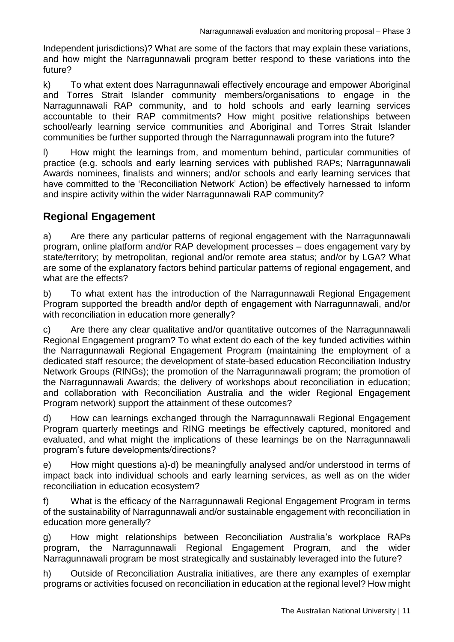Independent jurisdictions)? What are some of the factors that may explain these variations, and how might the Narragunnawali program better respond to these variations into the future?

k) To what extent does Narragunnawali effectively encourage and empower Aboriginal and Torres Strait Islander community members/organisations to engage in the Narragunnawali RAP community, and to hold schools and early learning services accountable to their RAP commitments? How might positive relationships between school/early learning service communities and Aboriginal and Torres Strait Islander communities be further supported through the Narragunnawali program into the future?

l) How might the learnings from, and momentum behind, particular communities of practice (e.g. schools and early learning services with published RAPs; Narragunnawali Awards nominees, finalists and winners; and/or schools and early learning services that have committed to the 'Reconciliation Network' Action) be effectively harnessed to inform and inspire activity within the wider Narragunnawali RAP community?

#### <span id="page-12-0"></span>**Regional Engagement**

a) Are there any particular patterns of regional engagement with the Narragunnawali program, online platform and/or RAP development processes – does engagement vary by state/territory; by metropolitan, regional and/or remote area status; and/or by LGA? What are some of the explanatory factors behind particular patterns of regional engagement, and what are the effects?

b) To what extent has the introduction of the Narragunnawali Regional Engagement Program supported the breadth and/or depth of engagement with Narragunnawali, and/or with reconciliation in education more generally?

c) Are there any clear qualitative and/or quantitative outcomes of the Narragunnawali Regional Engagement program? To what extent do each of the key funded activities within the Narragunnawali Regional Engagement Program (maintaining the employment of a dedicated staff resource; the development of state-based education Reconciliation Industry Network Groups (RINGs); the promotion of the Narragunnawali program; the promotion of the Narragunnawali Awards; the delivery of workshops about reconciliation in education; and collaboration with Reconciliation Australia and the wider Regional Engagement Program network) support the attainment of these outcomes?

d) How can learnings exchanged through the Narragunnawali Regional Engagement Program quarterly meetings and RING meetings be effectively captured, monitored and evaluated, and what might the implications of these learnings be on the Narragunnawali program's future developments/directions?

e) How might questions a)-d) be meaningfully analysed and/or understood in terms of impact back into individual schools and early learning services, as well as on the wider reconciliation in education ecosystem?

f) What is the efficacy of the Narragunnawali Regional Engagement Program in terms of the sustainability of Narragunnawali and/or sustainable engagement with reconciliation in education more generally?

g) How might relationships between Reconciliation Australia's workplace RAPs program, the Narragunnawali Regional Engagement Program, and the wider Narragunnawali program be most strategically and sustainably leveraged into the future?

h) Outside of Reconciliation Australia initiatives, are there any examples of exemplar programs or activities focused on reconciliation in education at the regional level? How might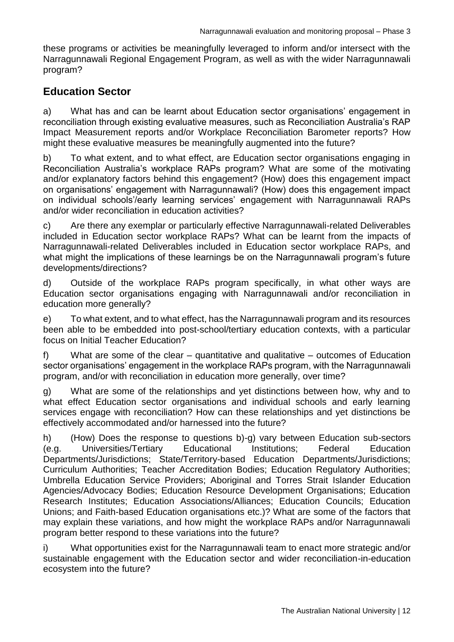these programs or activities be meaningfully leveraged to inform and/or intersect with the Narragunnawali Regional Engagement Program, as well as with the wider Narragunnawali program?

#### <span id="page-13-0"></span>**Education Sector**

a) What has and can be learnt about Education sector organisations' engagement in reconciliation through existing evaluative measures, such as Reconciliation Australia's RAP Impact Measurement reports and/or Workplace Reconciliation Barometer reports? How might these evaluative measures be meaningfully augmented into the future?

b) To what extent, and to what effect, are Education sector organisations engaging in Reconciliation Australia's workplace RAPs program? What are some of the motivating and/or explanatory factors behind this engagement? (How) does this engagement impact on organisations' engagement with Narragunnawali? (How) does this engagement impact on individual schools'/early learning services' engagement with Narragunnawali RAPs and/or wider reconciliation in education activities?

c) Are there any exemplar or particularly effective Narragunnawali-related Deliverables included in Education sector workplace RAPs? What can be learnt from the impacts of Narragunnawali-related Deliverables included in Education sector workplace RAPs, and what might the implications of these learnings be on the Narragunnawali program's future developments/directions?

d) Outside of the workplace RAPs program specifically, in what other ways are Education sector organisations engaging with Narragunnawali and/or reconciliation in education more generally?

e) To what extent, and to what effect, has the Narragunnawali program and its resources been able to be embedded into post-school/tertiary education contexts, with a particular focus on Initial Teacher Education?

f) What are some of the clear – quantitative and qualitative – outcomes of Education sector organisations' engagement in the workplace RAPs program, with the Narragunnawali program, and/or with reconciliation in education more generally, over time?

g) What are some of the relationships and yet distinctions between how, why and to what effect Education sector organisations and individual schools and early learning services engage with reconciliation? How can these relationships and yet distinctions be effectively accommodated and/or harnessed into the future?

h) (How) Does the response to questions b)-g) vary between Education sub-sectors (e.g. Universities/Tertiary Educational Institutions; Federal Education Departments/Jurisdictions; State/Territory-based Education Departments/Jurisdictions; Curriculum Authorities; Teacher Accreditation Bodies; Education Regulatory Authorities; Umbrella Education Service Providers; Aboriginal and Torres Strait Islander Education Agencies/Advocacy Bodies; Education Resource Development Organisations; Education Research Institutes; Education Associations/Alliances; Education Councils; Education Unions; and Faith-based Education organisations etc.)? What are some of the factors that may explain these variations, and how might the workplace RAPs and/or Narragunnawali program better respond to these variations into the future?

i) What opportunities exist for the Narragunnawali team to enact more strategic and/or sustainable engagement with the Education sector and wider reconciliation-in-education ecosystem into the future?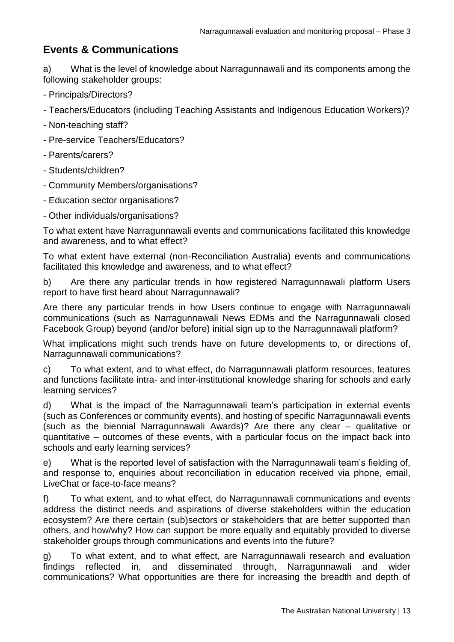#### <span id="page-14-0"></span>**Events & Communications**

a) What is the level of knowledge about Narragunnawali and its components among the following stakeholder groups:

- Principals/Directors?
- Teachers/Educators (including Teaching Assistants and Indigenous Education Workers)?
- Non-teaching staff?
- Pre-service Teachers/Educators?
- Parents/carers?
- Students/children?
- Community Members/organisations?
- Education sector organisations?
- Other individuals/organisations?

To what extent have Narragunnawali events and communications facilitated this knowledge and awareness, and to what effect?

To what extent have external (non-Reconciliation Australia) events and communications facilitated this knowledge and awareness, and to what effect?

b) Are there any particular trends in how registered Narragunnawali platform Users report to have first heard about Narragunnawali?

Are there any particular trends in how Users continue to engage with Narragunnawali communications (such as Narragunnawali News EDMs and the Narragunnawali closed Facebook Group) beyond (and/or before) initial sign up to the Narragunnawali platform?

What implications might such trends have on future developments to, or directions of, Narragunnawali communications?

c) To what extent, and to what effect, do Narragunnawali platform resources, features and functions facilitate intra- and inter-institutional knowledge sharing for schools and early learning services?

d) What is the impact of the Narragunnawali team's participation in external events (such as Conferences or community events), and hosting of specific Narragunnawali events (such as the biennial Narragunnawali Awards)? Are there any clear – qualitative or quantitative – outcomes of these events, with a particular focus on the impact back into schools and early learning services?

e) What is the reported level of satisfaction with the Narragunnawali team's fielding of, and response to, enquiries about reconciliation in education received via phone, email, LiveChat or face-to-face means?

f) To what extent, and to what effect, do Narragunnawali communications and events address the distinct needs and aspirations of diverse stakeholders within the education ecosystem? Are there certain (sub)sectors or stakeholders that are better supported than others, and how/why? How can support be more equally and equitably provided to diverse stakeholder groups through communications and events into the future?

g) To what extent, and to what effect, are Narragunnawali research and evaluation findings reflected in, and disseminated through, Narragunnawali and wider communications? What opportunities are there for increasing the breadth and depth of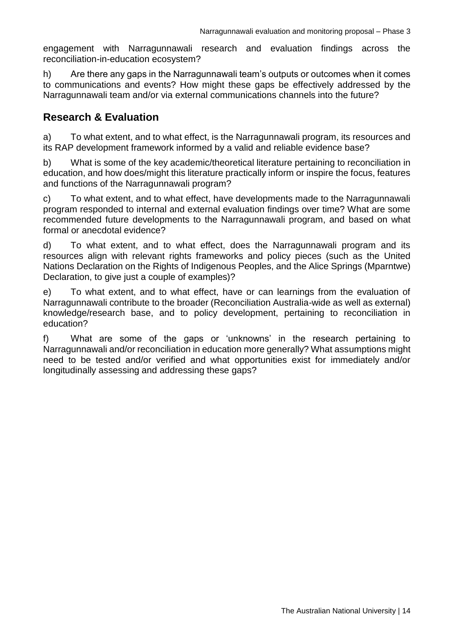engagement with Narragunnawali research and evaluation findings across the reconciliation-in-education ecosystem?

h) Are there any gaps in the Narragunnawali team's outputs or outcomes when it comes to communications and events? How might these gaps be effectively addressed by the Narragunnawali team and/or via external communications channels into the future?

#### <span id="page-15-0"></span>**Research & Evaluation**

a) To what extent, and to what effect, is the Narragunnawali program, its resources and its RAP development framework informed by a valid and reliable evidence base?

b) What is some of the key academic/theoretical literature pertaining to reconciliation in education, and how does/might this literature practically inform or inspire the focus, features and functions of the Narragunnawali program?

c) To what extent, and to what effect, have developments made to the Narragunnawali program responded to internal and external evaluation findings over time? What are some recommended future developments to the Narragunnawali program, and based on what formal or anecdotal evidence?

d) To what extent, and to what effect, does the Narragunnawali program and its resources align with relevant rights frameworks and policy pieces (such as the United Nations Declaration on the Rights of Indigenous Peoples, and the Alice Springs (Mparntwe) Declaration, to give just a couple of examples)?

e) To what extent, and to what effect, have or can learnings from the evaluation of Narragunnawali contribute to the broader (Reconciliation Australia-wide as well as external) knowledge/research base, and to policy development, pertaining to reconciliation in education?

f) What are some of the gaps or 'unknowns' in the research pertaining to Narragunnawali and/or reconciliation in education more generally? What assumptions might need to be tested and/or verified and what opportunities exist for immediately and/or longitudinally assessing and addressing these gaps?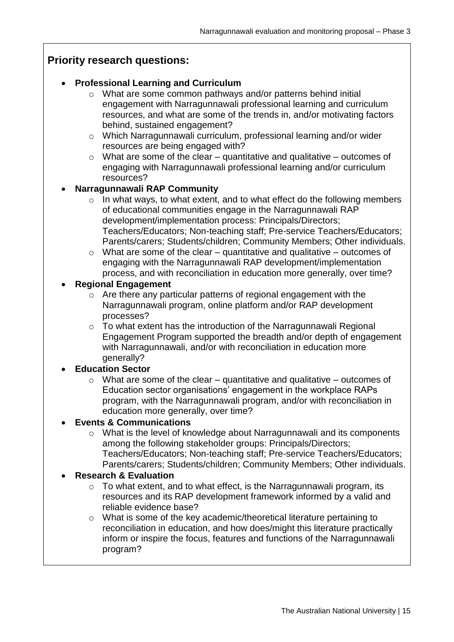#### <span id="page-16-0"></span>**Priority research questions:**

#### **Professional Learning and Curriculum**

- o What are some common pathways and/or patterns behind initial engagement with Narragunnawali professional learning and curriculum resources, and what are some of the trends in, and/or motivating factors behind, sustained engagement?
- o Which Narragunnawali curriculum, professional learning and/or wider resources are being engaged with?
- $\circ$  What are some of the clear quantitative and qualitative outcomes of engaging with Narragunnawali professional learning and/or curriculum resources?

#### **Narragunnawali RAP Community**

- $\circ$  In what ways, to what extent, and to what effect do the following members of educational communities engage in the Narragunnawali RAP development/implementation process: Principals/Directors; Teachers/Educators; Non-teaching staff; Pre-service Teachers/Educators; Parents/carers; Students/children; Community Members; Other individuals.
- $\circ$  What are some of the clear quantitative and qualitative outcomes of engaging with the Narragunnawali RAP development/implementation process, and with reconciliation in education more generally, over time?

#### **Regional Engagement**

- o Are there any particular patterns of regional engagement with the Narragunnawali program, online platform and/or RAP development processes?
- o To what extent has the introduction of the Narragunnawali Regional Engagement Program supported the breadth and/or depth of engagement with Narragunnawali, and/or with reconciliation in education more generally?

#### **Education Sector**

 $\circ$  What are some of the clear – quantitative and qualitative – outcomes of Education sector organisations' engagement in the workplace RAPs program, with the Narragunnawali program, and/or with reconciliation in education more generally, over time?

#### **Events & Communications**

o What is the level of knowledge about Narragunnawali and its components among the following stakeholder groups: Principals/Directors; Teachers/Educators; Non-teaching staff; Pre-service Teachers/Educators; Parents/carers; Students/children; Community Members; Other individuals.

#### **Research & Evaluation**

- $\circ$  To what extent, and to what effect, is the Narragunnawali program, its resources and its RAP development framework informed by a valid and reliable evidence base?
- o What is some of the key academic/theoretical literature pertaining to reconciliation in education, and how does/might this literature practically inform or inspire the focus, features and functions of the Narragunnawali program?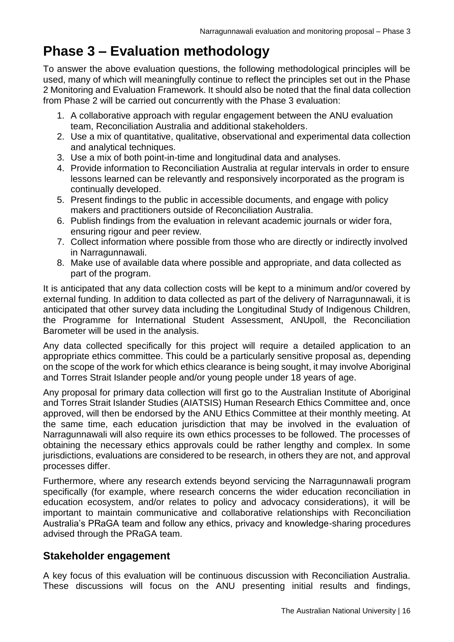# <span id="page-17-0"></span>**Phase 3 – Evaluation methodology**

To answer the above evaluation questions, the following methodological principles will be used, many of which will meaningfully continue to reflect the principles set out in the Phase 2 Monitoring and Evaluation Framework. It should also be noted that the final data collection from Phase 2 will be carried out concurrently with the Phase 3 evaluation:

- 1. A collaborative approach with regular engagement between the ANU evaluation team, Reconciliation Australia and additional stakeholders.
- 2. Use a mix of quantitative, qualitative, observational and experimental data collection and analytical techniques.
- 3. Use a mix of both point-in-time and longitudinal data and analyses.
- 4. Provide information to Reconciliation Australia at regular intervals in order to ensure lessons learned can be relevantly and responsively incorporated as the program is continually developed.
- 5. Present findings to the public in accessible documents, and engage with policy makers and practitioners outside of Reconciliation Australia.
- 6. Publish findings from the evaluation in relevant academic journals or wider fora, ensuring rigour and peer review.
- 7. Collect information where possible from those who are directly or indirectly involved in Narragunnawali.
- 8. Make use of available data where possible and appropriate, and data collected as part of the program.

It is anticipated that any data collection costs will be kept to a minimum and/or covered by external funding. In addition to data collected as part of the delivery of Narragunnawali, it is anticipated that other survey data including the Longitudinal Study of Indigenous Children, the Programme for International Student Assessment, ANUpoll, the Reconciliation Barometer will be used in the analysis.

Any data collected specifically for this project will require a detailed application to an appropriate ethics committee. This could be a particularly sensitive proposal as, depending on the scope of the work for which ethics clearance is being sought, it may involve Aboriginal and Torres Strait Islander people and/or young people under 18 years of age.

Any proposal for primary data collection will first go to the Australian Institute of Aboriginal and Torres Strait Islander Studies (AIATSIS) Human Research Ethics Committee and, once approved, will then be endorsed by the ANU Ethics Committee at their monthly meeting. At the same time, each education jurisdiction that may be involved in the evaluation of Narragunnawali will also require its own ethics processes to be followed. The processes of obtaining the necessary ethics approvals could be rather lengthy and complex. In some jurisdictions, evaluations are considered to be research, in others they are not, and approval processes differ.

Furthermore, where any research extends beyond servicing the Narragunnawali program specifically (for example, where research concerns the wider education reconciliation in education ecosystem, and/or relates to policy and advocacy considerations), it will be important to maintain communicative and collaborative relationships with Reconciliation Australia's PRaGA team and follow any ethics, privacy and knowledge-sharing procedures advised through the PRaGA team.

#### <span id="page-17-1"></span>**Stakeholder engagement**

A key focus of this evaluation will be continuous discussion with Reconciliation Australia. These discussions will focus on the ANU presenting initial results and findings,